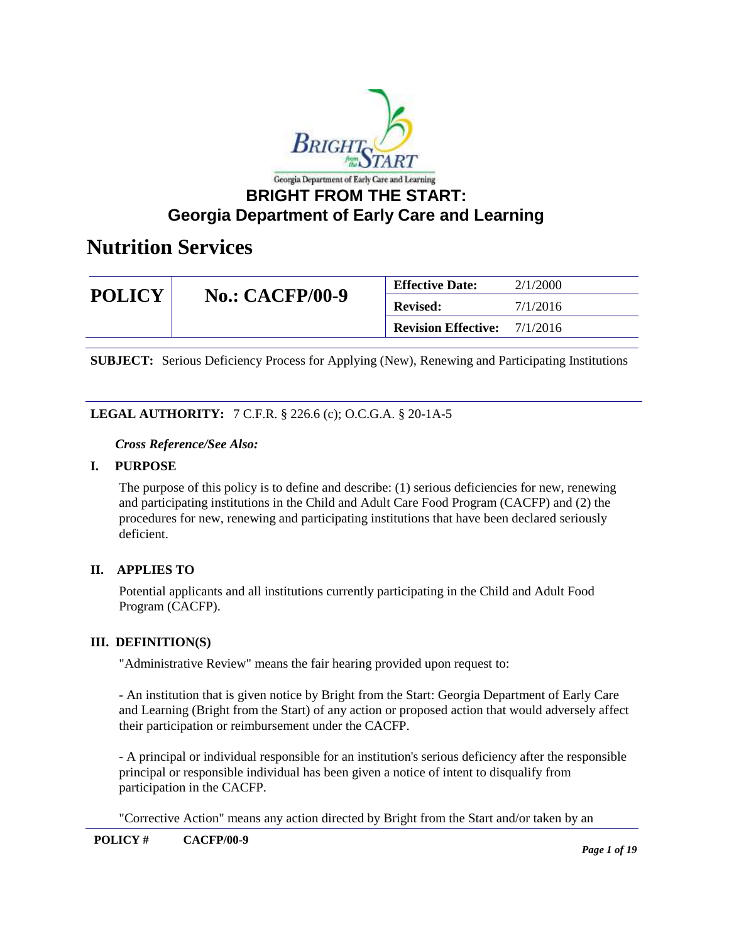

### **Georgia Department of Early Care and Learning**

### **Nutrition Services**

| <b>POLICY</b><br><b>No.: CACFP/00-9</b> | <b>Effective Date:</b>     | 2/1/2000 |
|-----------------------------------------|----------------------------|----------|
|                                         | <b>Revised:</b>            | 7/1/2016 |
|                                         | <b>Revision Effective:</b> | 7/1/2016 |

**SUBJECT:** Serious Deficiency Process for Applying (New), Renewing and Participating Institutions

### **LEGAL AUTHORITY:** 7 C.F.R. § 226.6 (c); O.C.G.A. § 20-1A-5

#### *Cross Reference/See Also:*

#### **I. PURPOSE**

The purpose of this policy is to define and describe: (1) serious deficiencies for new, renewing and participating institutions in the Child and Adult Care Food Program (CACFP) and (2) the procedures for new, renewing and participating institutions that have been declared seriously deficient.

#### **II. APPLIES TO**

Potential applicants and all institutions currently participating in the Child and Adult Food Program (CACFP).

#### **III. DEFINITION(S)**

"Administrative Review" means the fair hearing provided upon request to:

- An institution that is given notice by Bright from the Start: Georgia Department of Early Care and Learning (Bright from the Start) of any action or proposed action that would adversely affect their participation or reimbursement under the CACFP.

- A principal or individual responsible for an institution's serious deficiency after the responsible principal or responsible individual has been given a notice of intent to disqualify from participation in the CACFP.

"Corrective Action" means any action directed by Bright from the Start and/or taken by an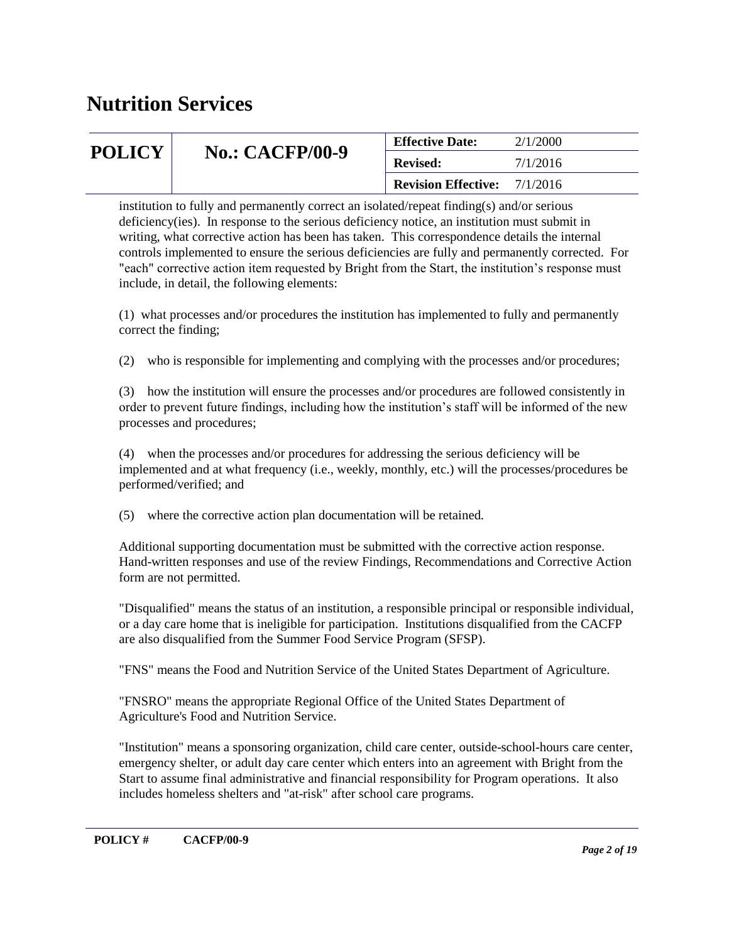| <b>POLICY</b> | <b>No.: CACFP/00-9</b> | <b>Effective Date:</b>     | 2/1/2000 |
|---------------|------------------------|----------------------------|----------|
|               |                        | <b>Revised:</b>            | 7/1/2016 |
|               |                        | <b>Revision Effective:</b> | 7/1/2016 |

institution to fully and permanently correct an isolated/repeat finding(s) and/or serious deficiency(ies). In response to the serious deficiency notice, an institution must submit in writing, what corrective action has been has taken. This correspondence details the internal controls implemented to ensure the serious deficiencies are fully and permanently corrected. For "each" corrective action item requested by Bright from the Start, the institution's response must include, in detail, the following elements:

(1) what processes and/or procedures the institution has implemented to fully and permanently correct the finding;

(2) who is responsible for implementing and complying with the processes and/or procedures;

(3) how the institution will ensure the processes and/or procedures are followed consistently in order to prevent future findings, including how the institution's staff will be informed of the new processes and procedures;

(4) when the processes and/or procedures for addressing the serious deficiency will be implemented and at what frequency (i.e., weekly, monthly, etc.) will the processes/procedures be performed/verified; and

(5) where the corrective action plan documentation will be retained.

Additional supporting documentation must be submitted with the corrective action response. Hand-written responses and use of the review Findings, Recommendations and Corrective Action form are not permitted.

"Disqualified" means the status of an institution, a responsible principal or responsible individual, or a day care home that is ineligible for participation. Institutions disqualified from the CACFP are also disqualified from the Summer Food Service Program (SFSP).

"FNS" means the Food and Nutrition Service of the United States Department of Agriculture.

"FNSRO" means the appropriate Regional Office of the United States Department of Agriculture's Food and Nutrition Service.

"Institution" means a sponsoring organization, child care center, outside-school-hours care center, emergency shelter, or adult day care center which enters into an agreement with Bright from the Start to assume final administrative and financial responsibility for Program operations. It also includes homeless shelters and "at-risk" after school care programs.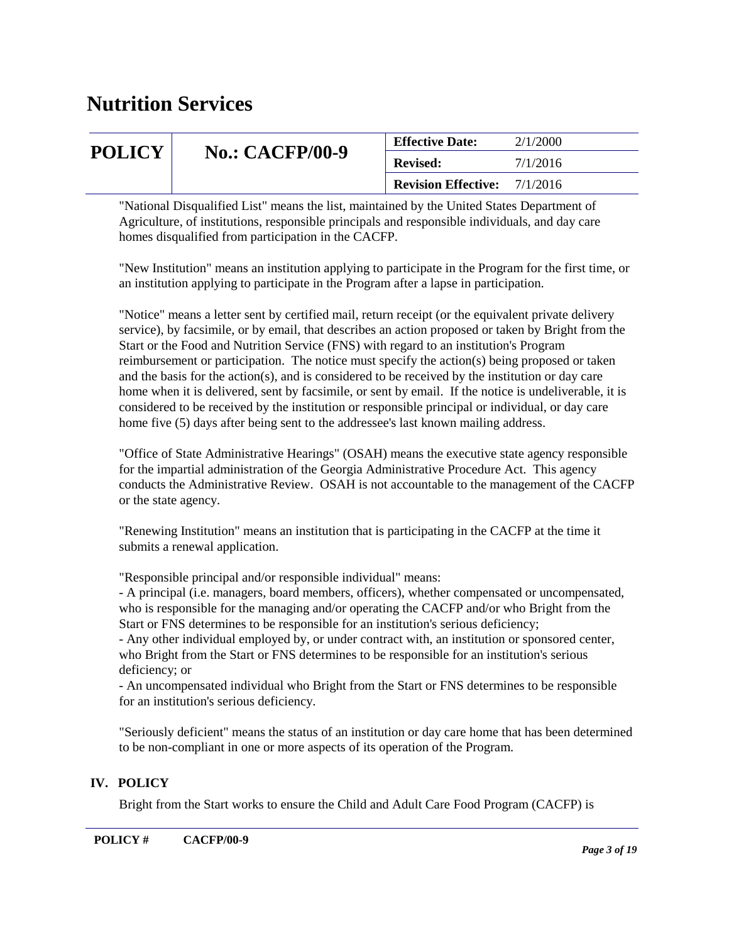| <b>POLICY</b><br><b>No.: CACFP/00-9</b><br>7/1/2016<br><b>Revised:</b> |  |
|------------------------------------------------------------------------|--|
| <b>Revision Effective:</b><br>7/1/2016                                 |  |

"National Disqualified List" means the list, maintained by the United States Department of Agriculture, of institutions, responsible principals and responsible individuals, and day care homes disqualified from participation in the CACFP.

"New Institution" means an institution applying to participate in the Program for the first time, or an institution applying to participate in the Program after a lapse in participation.

"Notice" means a letter sent by certified mail, return receipt (or the equivalent private delivery service), by facsimile, or by email, that describes an action proposed or taken by Bright from the Start or the Food and Nutrition Service (FNS) with regard to an institution's Program reimbursement or participation. The notice must specify the action(s) being proposed or taken and the basis for the action(s), and is considered to be received by the institution or day care home when it is delivered, sent by facsimile, or sent by email. If the notice is undeliverable, it is considered to be received by the institution or responsible principal or individual, or day care home five (5) days after being sent to the addressee's last known mailing address.

"Office of State Administrative Hearings" (OSAH) means the executive state agency responsible for the impartial administration of the Georgia Administrative Procedure Act. This agency conducts the Administrative Review. OSAH is not accountable to the management of the CACFP or the state agency.

"Renewing Institution" means an institution that is participating in the CACFP at the time it submits a renewal application.

"Responsible principal and/or responsible individual" means:

- A principal (i.e. managers, board members, officers), whether compensated or uncompensated, who is responsible for the managing and/or operating the CACFP and/or who Bright from the Start or FNS determines to be responsible for an institution's serious deficiency;

- Any other individual employed by, or under contract with, an institution or sponsored center, who Bright from the Start or FNS determines to be responsible for an institution's serious deficiency; or

- An uncompensated individual who Bright from the Start or FNS determines to be responsible for an institution's serious deficiency.

"Seriously deficient" means the status of an institution or day care home that has been determined to be non-compliant in one or more aspects of its operation of the Program.

#### **IV. POLICY**

Bright from the Start works to ensure the Child and Adult Care Food Program (CACFP) is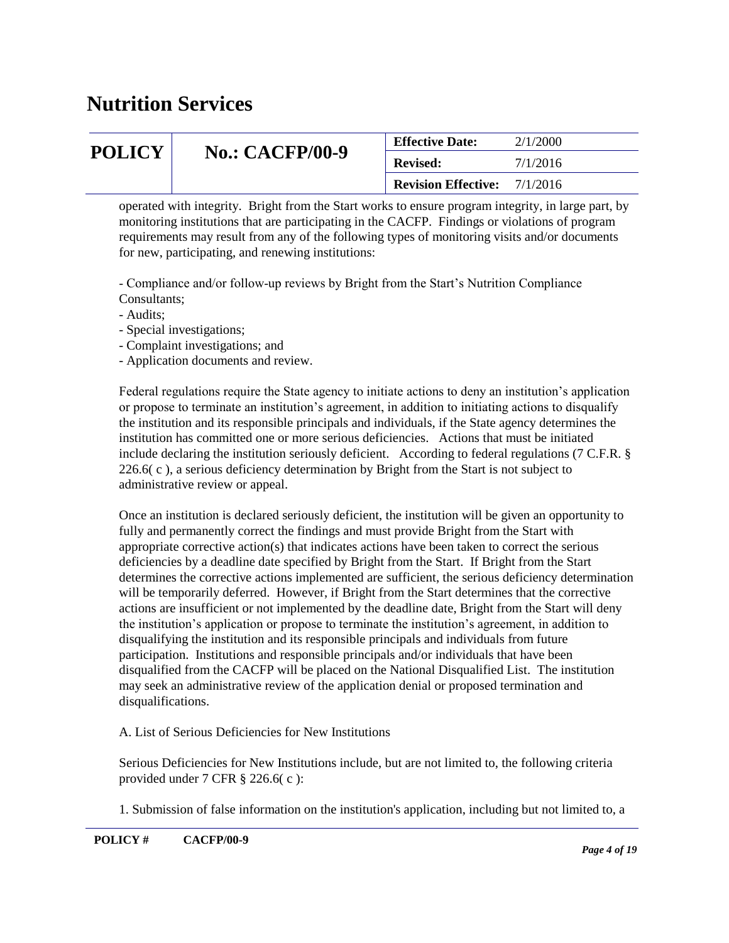| <b>POLICY</b> |                        | <b>Effective Date:</b>                                                | 2/1/2000 |
|---------------|------------------------|-----------------------------------------------------------------------|----------|
|               | <b>No.: CACFP/00-9</b> | 7/1/2016<br><b>Revised:</b><br><b>Revision Effective:</b><br>7/1/2016 |          |
|               |                        |                                                                       |          |

operated with integrity. Bright from the Start works to ensure program integrity, in large part, by monitoring institutions that are participating in the CACFP. Findings or violations of program requirements may result from any of the following types of monitoring visits and/or documents for new, participating, and renewing institutions:

- Compliance and/or follow-up reviews by Bright from the Start's Nutrition Compliance Consultants;

- Audits;
- Special investigations;
- Complaint investigations; and
- Application documents and review.

Federal regulations require the State agency to initiate actions to deny an institution's application or propose to terminate an institution's agreement, in addition to initiating actions to disqualify the institution and its responsible principals and individuals, if the State agency determines the institution has committed one or more serious deficiencies. Actions that must be initiated include declaring the institution seriously deficient. According to federal regulations (7 C.F.R. § 226.6( c ), a serious deficiency determination by Bright from the Start is not subject to administrative review or appeal.

Once an institution is declared seriously deficient, the institution will be given an opportunity to fully and permanently correct the findings and must provide Bright from the Start with appropriate corrective action(s) that indicates actions have been taken to correct the serious deficiencies by a deadline date specified by Bright from the Start. If Bright from the Start determines the corrective actions implemented are sufficient, the serious deficiency determination will be temporarily deferred. However, if Bright from the Start determines that the corrective actions are insufficient or not implemented by the deadline date, Bright from the Start will deny the institution's application or propose to terminate the institution's agreement, in addition to disqualifying the institution and its responsible principals and individuals from future participation. Institutions and responsible principals and/or individuals that have been disqualified from the CACFP will be placed on the National Disqualified List. The institution may seek an administrative review of the application denial or proposed termination and disqualifications.

A. List of Serious Deficiencies for New Institutions

Serious Deficiencies for New Institutions include, but are not limited to, the following criteria provided under 7 CFR § 226.6( c ):

1. Submission of false information on the institution's application, including but not limited to, a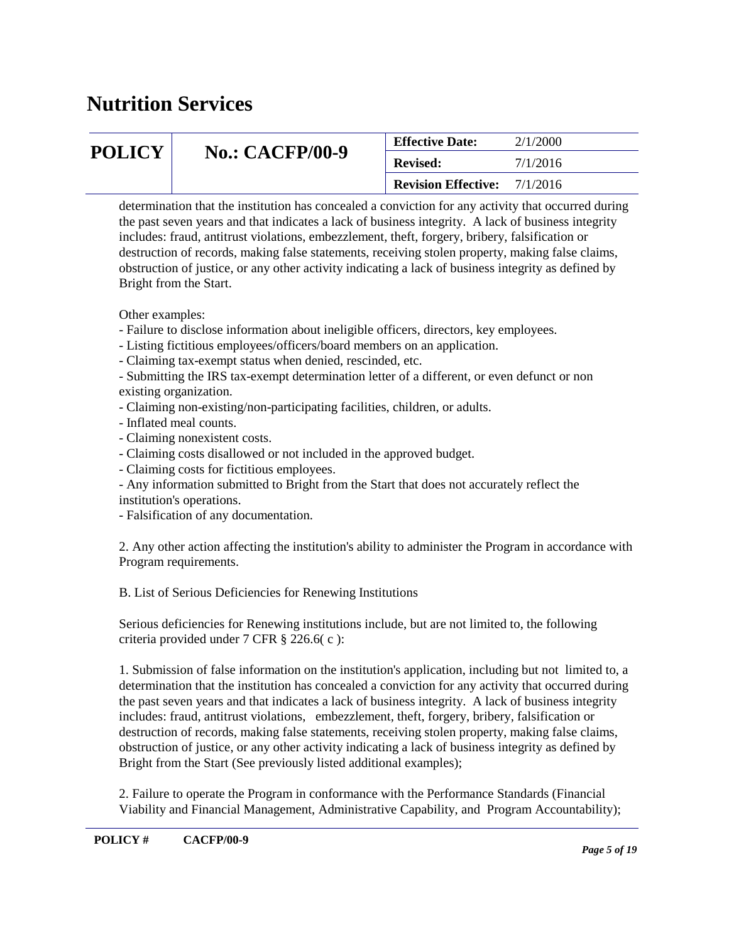| <b>POLICY</b> |                        | <b>Effective Date:</b>     | 2/1/2000 |
|---------------|------------------------|----------------------------|----------|
|               | <b>No.: CACFP/00-9</b> | <b>Revised:</b>            | 7/1/2016 |
|               |                        | <b>Revision Effective:</b> | 7/1/2016 |

determination that the institution has concealed a conviction for any activity that occurred during the past seven years and that indicates a lack of business integrity. A lack of business integrity includes: fraud, antitrust violations, embezzlement, theft, forgery, bribery, falsification or destruction of records, making false statements, receiving stolen property, making false claims, obstruction of justice, or any other activity indicating a lack of business integrity as defined by Bright from the Start.

Other examples:

- Failure to disclose information about ineligible officers, directors, key employees.
- Listing fictitious employees/officers/board members on an application.
- Claiming tax-exempt status when denied, rescinded, etc.
- Submitting the IRS tax-exempt determination letter of a different, or even defunct or non existing organization.
- Claiming non-existing/non-participating facilities, children, or adults.
- Inflated meal counts.
- Claiming nonexistent costs.
- Claiming costs disallowed or not included in the approved budget.
- Claiming costs for fictitious employees.
- Any information submitted to Bright from the Start that does not accurately reflect the institution's operations.
- Falsification of any documentation.

2. Any other action affecting the institution's ability to administer the Program in accordance with Program requirements.

B. List of Serious Deficiencies for Renewing Institutions

Serious deficiencies for Renewing institutions include, but are not limited to, the following criteria provided under 7 CFR § 226.6( c ):

1. Submission of false information on the institution's application, including but not limited to, a determination that the institution has concealed a conviction for any activity that occurred during the past seven years and that indicates a lack of business integrity. A lack of business integrity includes: fraud, antitrust violations, embezzlement, theft, forgery, bribery, falsification or destruction of records, making false statements, receiving stolen property, making false claims, obstruction of justice, or any other activity indicating a lack of business integrity as defined by Bright from the Start (See previously listed additional examples);

2. Failure to operate the Program in conformance with the Performance Standards (Financial Viability and Financial Management, Administrative Capability, and Program Accountability);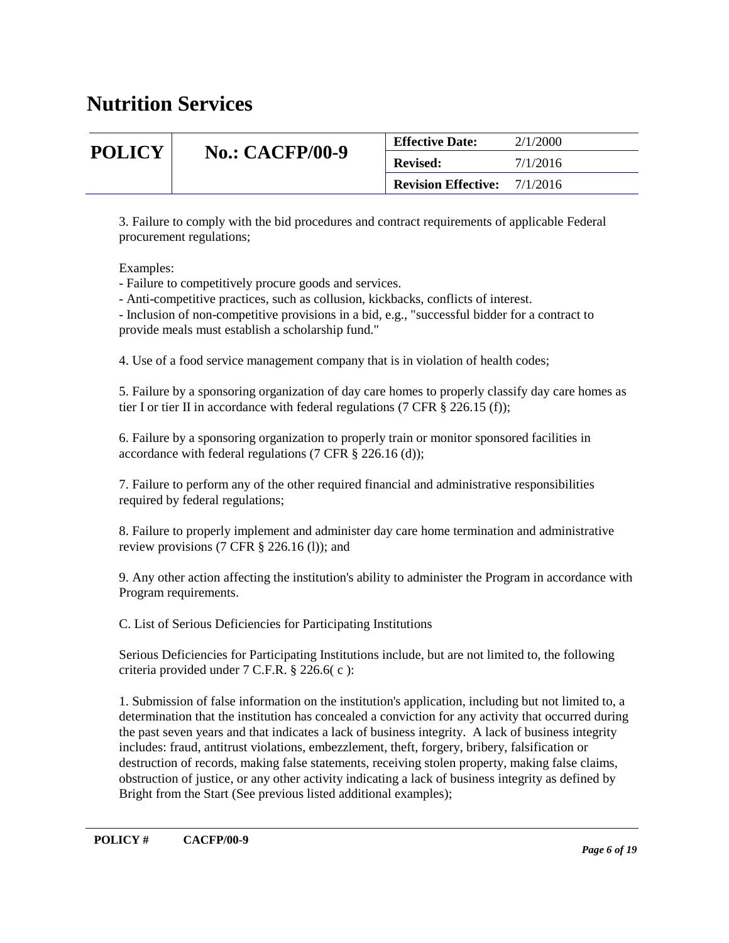| <b>POLICY</b> |                        | <b>Effective Date:</b>                                                | 2/1/2000 |
|---------------|------------------------|-----------------------------------------------------------------------|----------|
|               | <b>No.: CACFP/00-9</b> | 7/1/2016<br><b>Revised:</b><br><b>Revision Effective:</b><br>7/1/2016 |          |
|               |                        |                                                                       |          |

3. Failure to comply with the bid procedures and contract requirements of applicable Federal procurement regulations;

Examples:

- Failure to competitively procure goods and services.

- Anti-competitive practices, such as collusion, kickbacks, conflicts of interest.

- Inclusion of non-competitive provisions in a bid, e.g., "successful bidder for a contract to provide meals must establish a scholarship fund."

4. Use of a food service management company that is in violation of health codes;

5. Failure by a sponsoring organization of day care homes to properly classify day care homes as tier I or tier II in accordance with federal regulations (7 CFR  $\S$  226.15 (f));

6. Failure by a sponsoring organization to properly train or monitor sponsored facilities in accordance with federal regulations (7 CFR § 226.16 (d));

7. Failure to perform any of the other required financial and administrative responsibilities required by federal regulations;

8. Failure to properly implement and administer day care home termination and administrative review provisions (7 CFR § 226.16 (l)); and

9. Any other action affecting the institution's ability to administer the Program in accordance with Program requirements.

C. List of Serious Deficiencies for Participating Institutions

Serious Deficiencies for Participating Institutions include, but are not limited to, the following criteria provided under 7 C.F.R. § 226.6( c ):

1. Submission of false information on the institution's application, including but not limited to, a determination that the institution has concealed a conviction for any activity that occurred during the past seven years and that indicates a lack of business integrity. A lack of business integrity includes: fraud, antitrust violations, embezzlement, theft, forgery, bribery, falsification or destruction of records, making false statements, receiving stolen property, making false claims, obstruction of justice, or any other activity indicating a lack of business integrity as defined by Bright from the Start (See previous listed additional examples);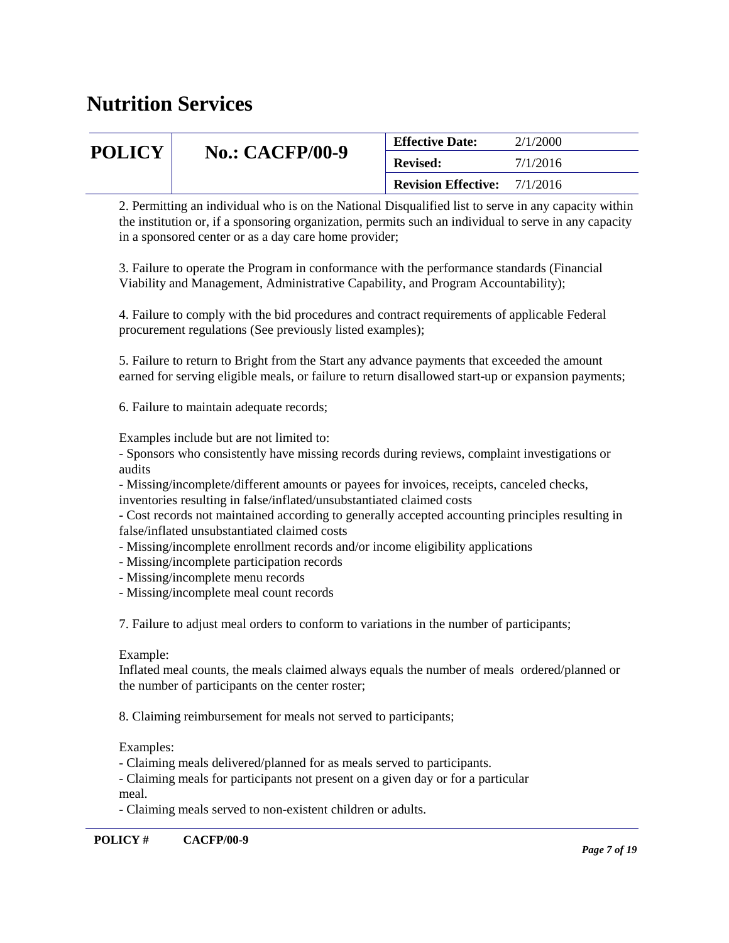| <b>POLICY</b> | <b>No.: CACFP/00-9</b> | <b>Effective Date:</b>     | 2/1/2000 |
|---------------|------------------------|----------------------------|----------|
|               |                        | <b>Revised:</b>            | 7/1/2016 |
|               |                        | <b>Revision Effective:</b> | 7/1/2016 |

2. Permitting an individual who is on the National Disqualified list to serve in any capacity within the institution or, if a sponsoring organization, permits such an individual to serve in any capacity in a sponsored center or as a day care home provider;

3. Failure to operate the Program in conformance with the performance standards (Financial Viability and Management, Administrative Capability, and Program Accountability);

4. Failure to comply with the bid procedures and contract requirements of applicable Federal procurement regulations (See previously listed examples);

5. Failure to return to Bright from the Start any advance payments that exceeded the amount earned for serving eligible meals, or failure to return disallowed start-up or expansion payments;

6. Failure to maintain adequate records;

Examples include but are not limited to:

- Sponsors who consistently have missing records during reviews, complaint investigations or audits

- Missing/incomplete/different amounts or payees for invoices, receipts, canceled checks, inventories resulting in false/inflated/unsubstantiated claimed costs

- Cost records not maintained according to generally accepted accounting principles resulting in false/inflated unsubstantiated claimed costs

- Missing/incomplete enrollment records and/or income eligibility applications
- Missing/incomplete participation records
- Missing/incomplete menu records
- Missing/incomplete meal count records

7. Failure to adjust meal orders to conform to variations in the number of participants;

#### Example:

Inflated meal counts, the meals claimed always equals the number of meals ordered/planned or the number of participants on the center roster;

8. Claiming reimbursement for meals not served to participants;

#### Examples:

- Claiming meals delivered/planned for as meals served to participants.

- Claiming meals for participants not present on a given day or for a particular meal.

- Claiming meals served to non-existent children or adults.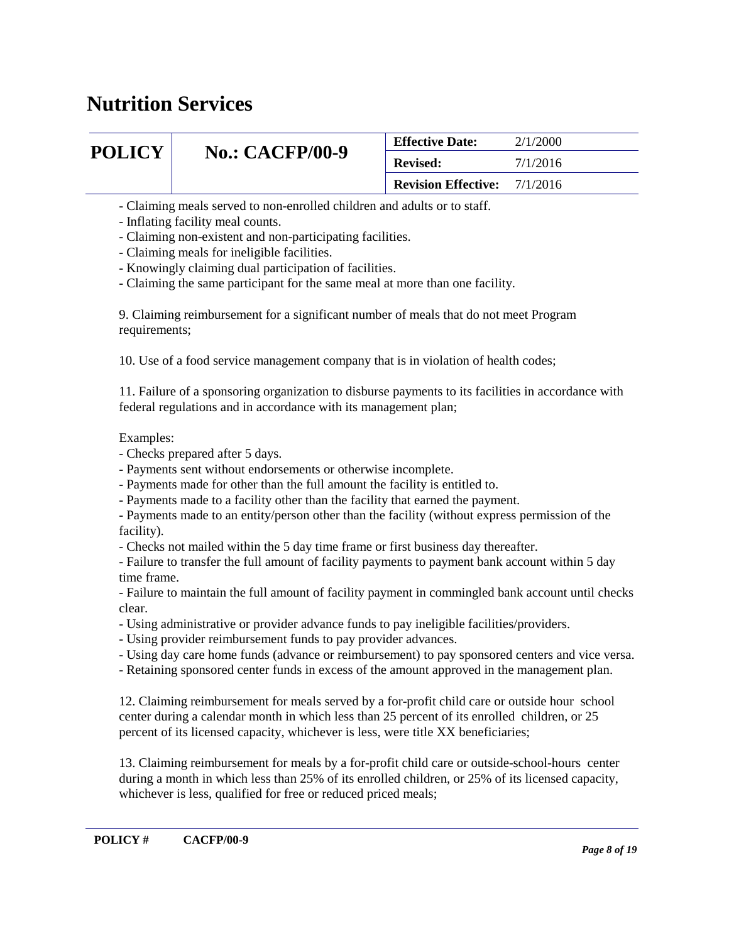| <b>POLICY</b> |                        | <b>Effective Date:</b>              | 2/1/2000 |
|---------------|------------------------|-------------------------------------|----------|
|               | <b>No.: CACFP/00-9</b> | <b>Revised:</b>                     | 7/1/2016 |
|               |                        | <b>Revision Effective:</b> 7/1/2016 |          |

- Claiming meals served to non-enrolled children and adults or to staff.

- Inflating facility meal counts.

- Claiming non-existent and non-participating facilities.

- Claiming meals for ineligible facilities.

- Knowingly claiming dual participation of facilities.

- Claiming the same participant for the same meal at more than one facility.

9. Claiming reimbursement for a significant number of meals that do not meet Program requirements;

10. Use of a food service management company that is in violation of health codes;

11. Failure of a sponsoring organization to disburse payments to its facilities in accordance with federal regulations and in accordance with its management plan;

#### Examples:

- Checks prepared after 5 days.
- Payments sent without endorsements or otherwise incomplete.
- Payments made for other than the full amount the facility is entitled to.
- Payments made to a facility other than the facility that earned the payment.
- Payments made to an entity/person other than the facility (without express permission of the facility).
- Checks not mailed within the 5 day time frame or first business day thereafter.

- Failure to transfer the full amount of facility payments to payment bank account within 5 day time frame.

- Failure to maintain the full amount of facility payment in commingled bank account until checks clear.

- Using administrative or provider advance funds to pay ineligible facilities/providers.
- Using provider reimbursement funds to pay provider advances.
- Using day care home funds (advance or reimbursement) to pay sponsored centers and vice versa.
- Retaining sponsored center funds in excess of the amount approved in the management plan.

12. Claiming reimbursement for meals served by a for-profit child care or outside hour school center during a calendar month in which less than 25 percent of its enrolled children, or 25 percent of its licensed capacity, whichever is less, were title XX beneficiaries;

13. Claiming reimbursement for meals by a for-profit child care or outside-school-hours center during a month in which less than 25% of its enrolled children, or 25% of its licensed capacity, whichever is less, qualified for free or reduced priced meals;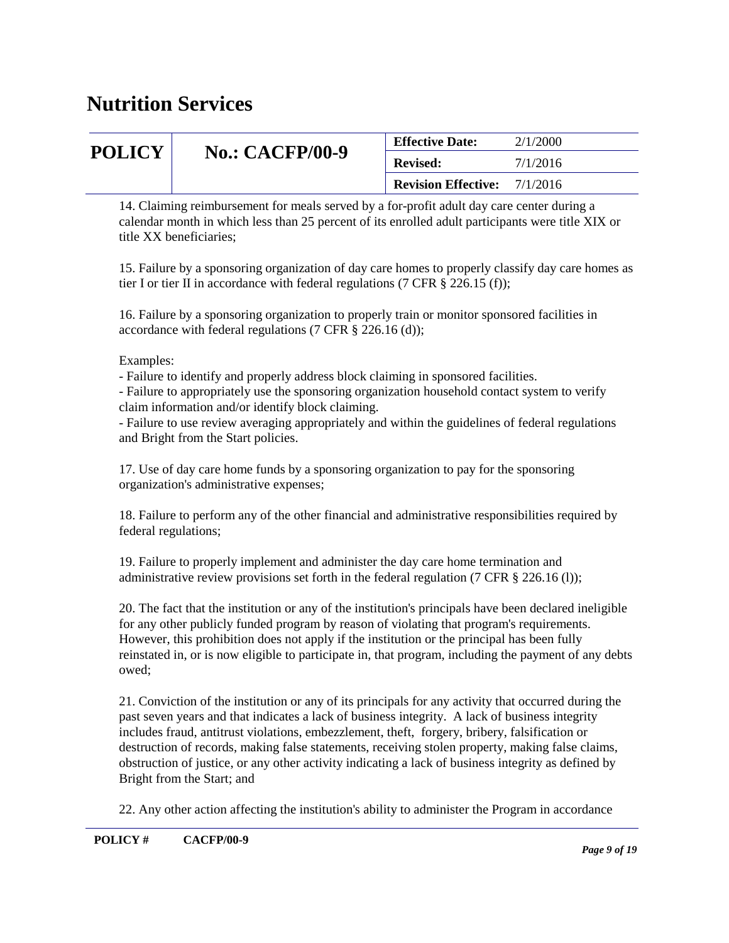| <b>POLICY</b> |                        | <b>Effective Date:</b>                                             | 2/1/2000 |
|---------------|------------------------|--------------------------------------------------------------------|----------|
|               | <b>No.: CACFP/00-9</b> | 7/1/2016<br><b>Revised:</b><br><b>Revision Effective:</b> 7/1/2016 |          |
|               |                        |                                                                    |          |

14. Claiming reimbursement for meals served by a for-profit adult day care center during a calendar month in which less than 25 percent of its enrolled adult participants were title XIX or title XX beneficiaries;

15. Failure by a sponsoring organization of day care homes to properly classify day care homes as tier I or tier II in accordance with federal regulations (7 CFR  $\S$  226.15 (f));

16. Failure by a sponsoring organization to properly train or monitor sponsored facilities in accordance with federal regulations (7 CFR § 226.16 (d));

Examples:

- Failure to identify and properly address block claiming in sponsored facilities.

- Failure to appropriately use the sponsoring organization household contact system to verify claim information and/or identify block claiming.

- Failure to use review averaging appropriately and within the guidelines of federal regulations and Bright from the Start policies.

17. Use of day care home funds by a sponsoring organization to pay for the sponsoring organization's administrative expenses;

18. Failure to perform any of the other financial and administrative responsibilities required by federal regulations;

19. Failure to properly implement and administer the day care home termination and administrative review provisions set forth in the federal regulation (7 CFR § 226.16 (l));

20. The fact that the institution or any of the institution's principals have been declared ineligible for any other publicly funded program by reason of violating that program's requirements. However, this prohibition does not apply if the institution or the principal has been fully reinstated in, or is now eligible to participate in, that program, including the payment of any debts owed;

21. Conviction of the institution or any of its principals for any activity that occurred during the past seven years and that indicates a lack of business integrity. A lack of business integrity includes fraud, antitrust violations, embezzlement, theft, forgery, bribery, falsification or destruction of records, making false statements, receiving stolen property, making false claims, obstruction of justice, or any other activity indicating a lack of business integrity as defined by Bright from the Start; and

22. Any other action affecting the institution's ability to administer the Program in accordance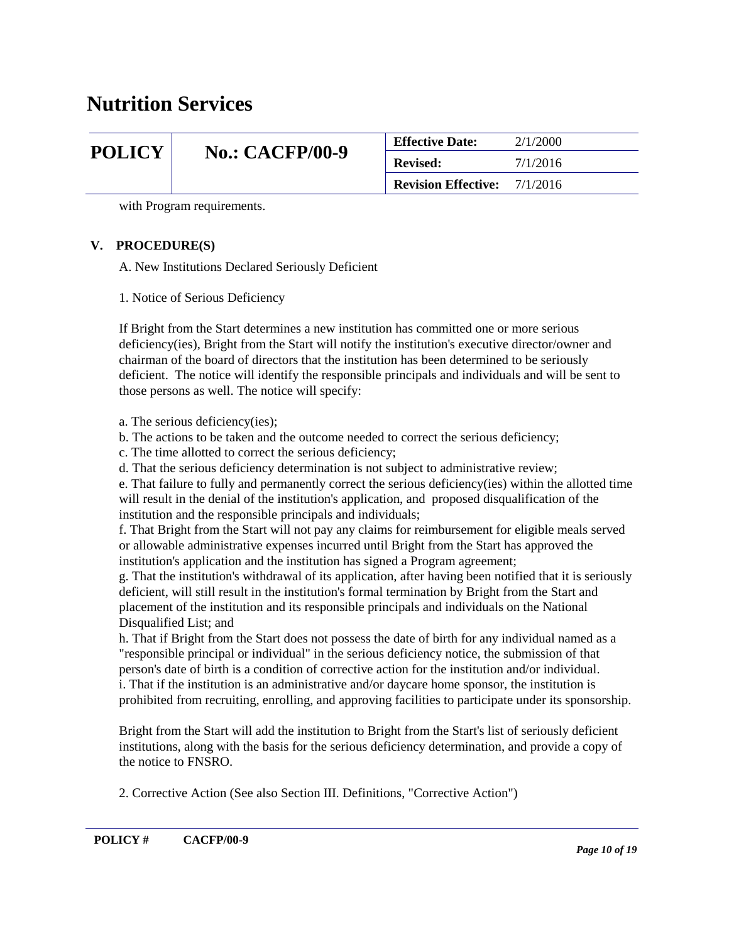| <b>POLICY</b> |                        | <b>Effective Date:</b>     | 2/1/2000             |
|---------------|------------------------|----------------------------|----------------------|
|               | <b>No.: CACFP/00-9</b> | <b>Revised:</b>            | 7/1/2016<br>7/1/2016 |
|               |                        | <b>Revision Effective:</b> |                      |

with Program requirements.

#### **V. PROCEDURE(S)**

A. New Institutions Declared Seriously Deficient

1. Notice of Serious Deficiency

If Bright from the Start determines a new institution has committed one or more serious deficiency(ies), Bright from the Start will notify the institution's executive director/owner and chairman of the board of directors that the institution has been determined to be seriously deficient. The notice will identify the responsible principals and individuals and will be sent to those persons as well. The notice will specify:

a. The serious deficiency(ies);

- b. The actions to be taken and the outcome needed to correct the serious deficiency;
- c. The time allotted to correct the serious deficiency;
- d. That the serious deficiency determination is not subject to administrative review;

e. That failure to fully and permanently correct the serious deficiency(ies) within the allotted time will result in the denial of the institution's application, and proposed disqualification of the institution and the responsible principals and individuals;

f. That Bright from the Start will not pay any claims for reimbursement for eligible meals served or allowable administrative expenses incurred until Bright from the Start has approved the institution's application and the institution has signed a Program agreement;

g. That the institution's withdrawal of its application, after having been notified that it is seriously deficient, will still result in the institution's formal termination by Bright from the Start and placement of the institution and its responsible principals and individuals on the National Disqualified List; and

h. That if Bright from the Start does not possess the date of birth for any individual named as a "responsible principal or individual" in the serious deficiency notice, the submission of that person's date of birth is a condition of corrective action for the institution and/or individual. i. That if the institution is an administrative and/or daycare home sponsor, the institution is prohibited from recruiting, enrolling, and approving facilities to participate under its sponsorship.

Bright from the Start will add the institution to Bright from the Start's list of seriously deficient institutions, along with the basis for the serious deficiency determination, and provide a copy of the notice to FNSRO.

2. Corrective Action (See also Section III. Definitions, "Corrective Action")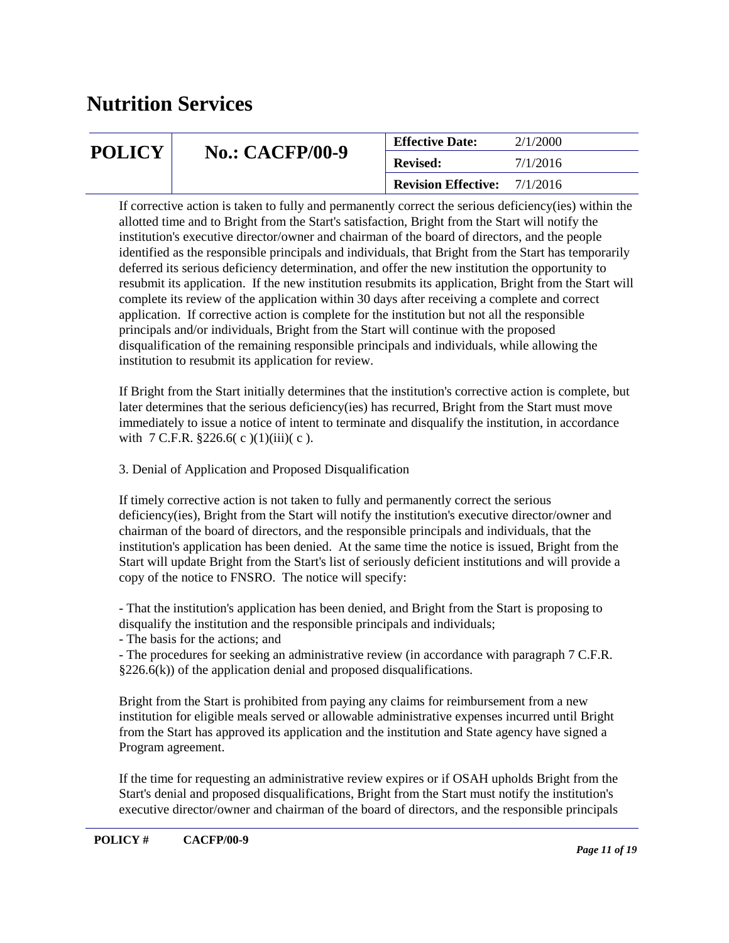| <b>No.: CACFP/00-9</b><br><b>POLICY</b> | <b>Effective Date:</b>     | 2/1/2000 |
|-----------------------------------------|----------------------------|----------|
|                                         | <b>Revised:</b>            | 7/1/2016 |
|                                         | <b>Revision Effective:</b> | 7/1/2016 |

If corrective action is taken to fully and permanently correct the serious deficiency(ies) within the allotted time and to Bright from the Start's satisfaction, Bright from the Start will notify the institution's executive director/owner and chairman of the board of directors, and the people identified as the responsible principals and individuals, that Bright from the Start has temporarily deferred its serious deficiency determination, and offer the new institution the opportunity to resubmit its application. If the new institution resubmits its application, Bright from the Start will complete its review of the application within 30 days after receiving a complete and correct application. If corrective action is complete for the institution but not all the responsible principals and/or individuals, Bright from the Start will continue with the proposed disqualification of the remaining responsible principals and individuals, while allowing the institution to resubmit its application for review.

If Bright from the Start initially determines that the institution's corrective action is complete, but later determines that the serious deficiency(ies) has recurred, Bright from the Start must move immediately to issue a notice of intent to terminate and disqualify the institution, in accordance with 7 C.F.R.  $$226.6(c)(1)(iii)(c)$ .

3. Denial of Application and Proposed Disqualification

If timely corrective action is not taken to fully and permanently correct the serious deficiency(ies), Bright from the Start will notify the institution's executive director/owner and chairman of the board of directors, and the responsible principals and individuals, that the institution's application has been denied. At the same time the notice is issued, Bright from the Start will update Bright from the Start's list of seriously deficient institutions and will provide a copy of the notice to FNSRO. The notice will specify:

- That the institution's application has been denied, and Bright from the Start is proposing to disqualify the institution and the responsible principals and individuals;

- The basis for the actions; and

- The procedures for seeking an administrative review (in accordance with paragraph 7 C.F.R.  $§226.6(k)$  of the application denial and proposed disqualifications.

Bright from the Start is prohibited from paying any claims for reimbursement from a new institution for eligible meals served or allowable administrative expenses incurred until Bright from the Start has approved its application and the institution and State agency have signed a Program agreement.

If the time for requesting an administrative review expires or if OSAH upholds Bright from the Start's denial and proposed disqualifications, Bright from the Start must notify the institution's executive director/owner and chairman of the board of directors, and the responsible principals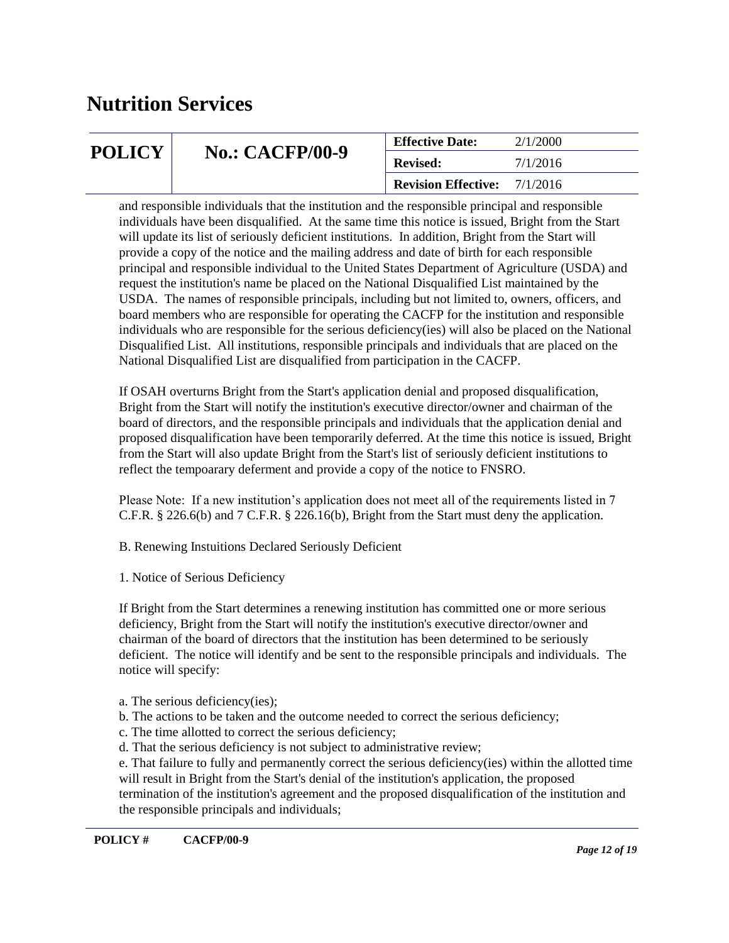| <b>POLICY</b><br><b>No.: CACFP/00-9</b> |                 | <b>Effective Date:</b>     | 2/1/2000 |
|-----------------------------------------|-----------------|----------------------------|----------|
|                                         | <b>Revised:</b> | 7/1/2016                   |          |
|                                         |                 | <b>Revision Effective:</b> | 7/1/2016 |

and responsible individuals that the institution and the responsible principal and responsible individuals have been disqualified. At the same time this notice is issued, Bright from the Start will update its list of seriously deficient institutions. In addition, Bright from the Start will provide a copy of the notice and the mailing address and date of birth for each responsible principal and responsible individual to the United States Department of Agriculture (USDA) and request the institution's name be placed on the National Disqualified List maintained by the USDA. The names of responsible principals, including but not limited to, owners, officers, and board members who are responsible for operating the CACFP for the institution and responsible individuals who are responsible for the serious deficiency(ies) will also be placed on the National Disqualified List. All institutions, responsible principals and individuals that are placed on the National Disqualified List are disqualified from participation in the CACFP.

If OSAH overturns Bright from the Start's application denial and proposed disqualification, Bright from the Start will notify the institution's executive director/owner and chairman of the board of directors, and the responsible principals and individuals that the application denial and proposed disqualification have been temporarily deferred. At the time this notice is issued, Bright from the Start will also update Bright from the Start's list of seriously deficient institutions to reflect the tempoarary deferment and provide a copy of the notice to FNSRO.

Please Note: If a new institution's application does not meet all of the requirements listed in 7 C.F.R. § 226.6(b) and 7 C.F.R. § 226.16(b), Bright from the Start must deny the application.

B. Renewing Instuitions Declared Seriously Deficient

1. Notice of Serious Deficiency

If Bright from the Start determines a renewing institution has committed one or more serious deficiency, Bright from the Start will notify the institution's executive director/owner and chairman of the board of directors that the institution has been determined to be seriously deficient. The notice will identify and be sent to the responsible principals and individuals. The notice will specify:

- a. The serious deficiency(ies);
- b. The actions to be taken and the outcome needed to correct the serious deficiency;
- c. The time allotted to correct the serious deficiency;
- d. That the serious deficiency is not subject to administrative review;

e. That failure to fully and permanently correct the serious deficiency(ies) within the allotted time will result in Bright from the Start's denial of the institution's application, the proposed termination of the institution's agreement and the proposed disqualification of the institution and the responsible principals and individuals;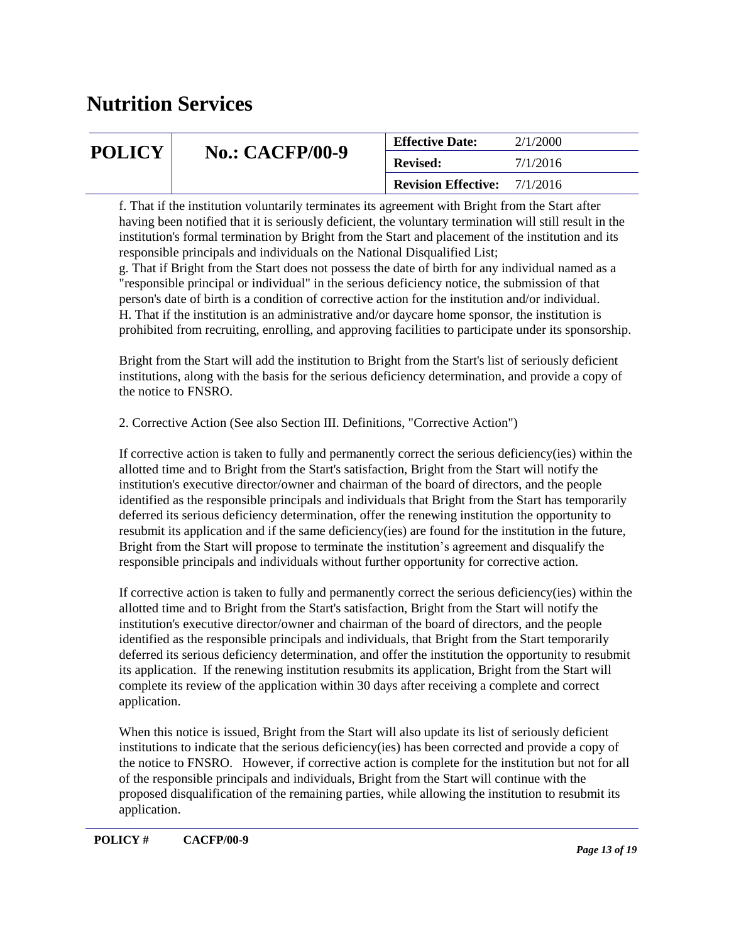| <b>POLICY</b> | <b>No.: CACFP/00-9</b><br><b>Revised:</b> | <b>Effective Date:</b>     | 2/1/2000 |
|---------------|-------------------------------------------|----------------------------|----------|
|               |                                           |                            | 7/1/2016 |
|               |                                           | <b>Revision Effective:</b> | 7/1/2016 |

f. That if the institution voluntarily terminates its agreement with Bright from the Start after having been notified that it is seriously deficient, the voluntary termination will still result in the institution's formal termination by Bright from the Start and placement of the institution and its responsible principals and individuals on the National Disqualified List;

g. That if Bright from the Start does not possess the date of birth for any individual named as a "responsible principal or individual" in the serious deficiency notice, the submission of that person's date of birth is a condition of corrective action for the institution and/or individual. H. That if the institution is an administrative and/or daycare home sponsor, the institution is prohibited from recruiting, enrolling, and approving facilities to participate under its sponsorship.

Bright from the Start will add the institution to Bright from the Start's list of seriously deficient institutions, along with the basis for the serious deficiency determination, and provide a copy of the notice to FNSRO.

2. Corrective Action (See also Section III. Definitions, "Corrective Action")

If corrective action is taken to fully and permanently correct the serious deficiency(ies) within the allotted time and to Bright from the Start's satisfaction, Bright from the Start will notify the institution's executive director/owner and chairman of the board of directors, and the people identified as the responsible principals and individuals that Bright from the Start has temporarily deferred its serious deficiency determination, offer the renewing institution the opportunity to resubmit its application and if the same deficiency(ies) are found for the institution in the future, Bright from the Start will propose to terminate the institution's agreement and disqualify the responsible principals and individuals without further opportunity for corrective action.

If corrective action is taken to fully and permanently correct the serious deficiency(ies) within the allotted time and to Bright from the Start's satisfaction, Bright from the Start will notify the institution's executive director/owner and chairman of the board of directors, and the people identified as the responsible principals and individuals, that Bright from the Start temporarily deferred its serious deficiency determination, and offer the institution the opportunity to resubmit its application. If the renewing institution resubmits its application, Bright from the Start will complete its review of the application within 30 days after receiving a complete and correct application.

When this notice is issued, Bright from the Start will also update its list of seriously deficient institutions to indicate that the serious deficiency(ies) has been corrected and provide a copy of the notice to FNSRO. However, if corrective action is complete for the institution but not for all of the responsible principals and individuals, Bright from the Start will continue with the proposed disqualification of the remaining parties, while allowing the institution to resubmit its application.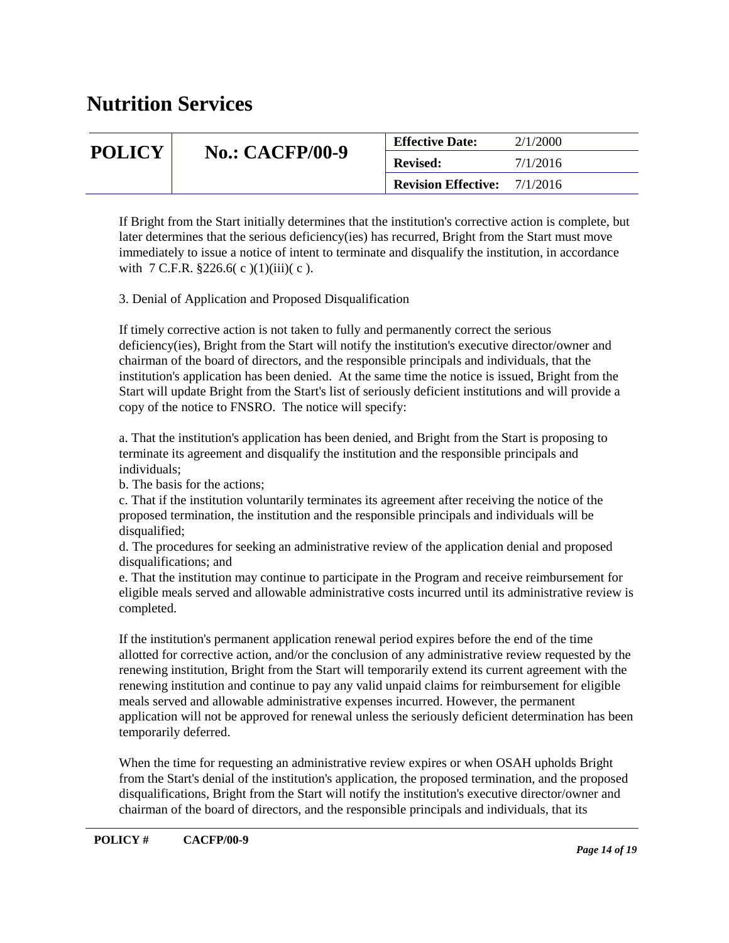| <b>POLICY</b> |                        | <b>Effective Date:</b>                | 2/1/2000 |
|---------------|------------------------|---------------------------------------|----------|
|               | <b>No.: CACFP/00-9</b> | <b>Revised:</b>                       | 7/1/2016 |
|               |                        | <b>Revision Effective:</b> $7/1/2016$ |          |

If Bright from the Start initially determines that the institution's corrective action is complete, but later determines that the serious deficiency(ies) has recurred, Bright from the Start must move immediately to issue a notice of intent to terminate and disqualify the institution, in accordance with  $7 \text{ C.F.R. } $226.6(c)(1)(iii)(c)$ .

3. Denial of Application and Proposed Disqualification

If timely corrective action is not taken to fully and permanently correct the serious deficiency(ies), Bright from the Start will notify the institution's executive director/owner and chairman of the board of directors, and the responsible principals and individuals, that the institution's application has been denied. At the same time the notice is issued, Bright from the Start will update Bright from the Start's list of seriously deficient institutions and will provide a copy of the notice to FNSRO. The notice will specify:

a. That the institution's application has been denied, and Bright from the Start is proposing to terminate its agreement and disqualify the institution and the responsible principals and individuals;

b. The basis for the actions;

c. That if the institution voluntarily terminates its agreement after receiving the notice of the proposed termination, the institution and the responsible principals and individuals will be disqualified;

d. The procedures for seeking an administrative review of the application denial and proposed disqualifications; and

e. That the institution may continue to participate in the Program and receive reimbursement for eligible meals served and allowable administrative costs incurred until its administrative review is completed.

If the institution's permanent application renewal period expires before the end of the time allotted for corrective action, and/or the conclusion of any administrative review requested by the renewing institution, Bright from the Start will temporarily extend its current agreement with the renewing institution and continue to pay any valid unpaid claims for reimbursement for eligible meals served and allowable administrative expenses incurred. However, the permanent application will not be approved for renewal unless the seriously deficient determination has been temporarily deferred.

When the time for requesting an administrative review expires or when OSAH upholds Bright from the Start's denial of the institution's application, the proposed termination, and the proposed disqualifications, Bright from the Start will notify the institution's executive director/owner and chairman of the board of directors, and the responsible principals and individuals, that its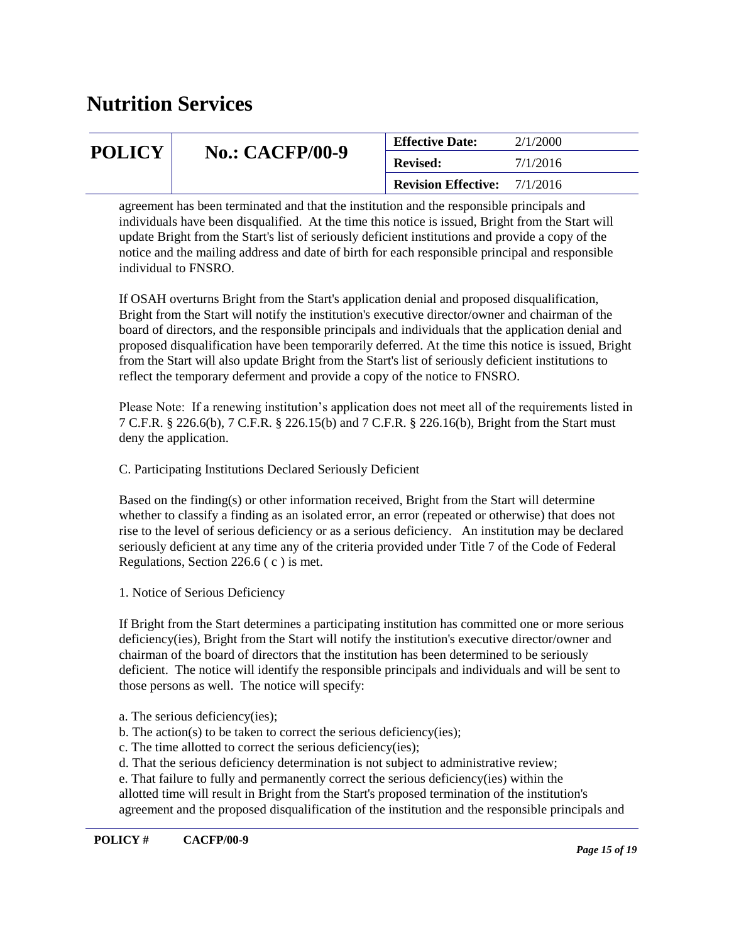| <b>POLICY</b> |                        | 2/1/2000<br><b>Effective Date:</b>  |          |
|---------------|------------------------|-------------------------------------|----------|
|               | <b>No.: CACFP/00-9</b> | <b>Revised:</b>                     | 7/1/2016 |
|               |                        | <b>Revision Effective:</b> 7/1/2016 |          |

agreement has been terminated and that the institution and the responsible principals and individuals have been disqualified. At the time this notice is issued, Bright from the Start will update Bright from the Start's list of seriously deficient institutions and provide a copy of the notice and the mailing address and date of birth for each responsible principal and responsible individual to FNSRO.

If OSAH overturns Bright from the Start's application denial and proposed disqualification, Bright from the Start will notify the institution's executive director/owner and chairman of the board of directors, and the responsible principals and individuals that the application denial and proposed disqualification have been temporarily deferred. At the time this notice is issued, Bright from the Start will also update Bright from the Start's list of seriously deficient institutions to reflect the temporary deferment and provide a copy of the notice to FNSRO.

Please Note: If a renewing institution's application does not meet all of the requirements listed in 7 C.F.R. § 226.6(b), 7 C.F.R. § 226.15(b) and 7 C.F.R. § 226.16(b), Bright from the Start must deny the application.

C. Participating Institutions Declared Seriously Deficient

Based on the finding(s) or other information received, Bright from the Start will determine whether to classify a finding as an isolated error, an error (repeated or otherwise) that does not rise to the level of serious deficiency or as a serious deficiency. An institution may be declared seriously deficient at any time any of the criteria provided under Title 7 of the Code of Federal Regulations, Section 226.6 ( c ) is met.

1. Notice of Serious Deficiency

If Bright from the Start determines a participating institution has committed one or more serious deficiency(ies), Bright from the Start will notify the institution's executive director/owner and chairman of the board of directors that the institution has been determined to be seriously deficient. The notice will identify the responsible principals and individuals and will be sent to those persons as well. The notice will specify:

a. The serious deficiency(ies);

- b. The action(s) to be taken to correct the serious deficiency(ies);
- c. The time allotted to correct the serious deficiency(ies);
- d. That the serious deficiency determination is not subject to administrative review;

e. That failure to fully and permanently correct the serious deficiency(ies) within the allotted time will result in Bright from the Start's proposed termination of the institution's agreement and the proposed disqualification of the institution and the responsible principals and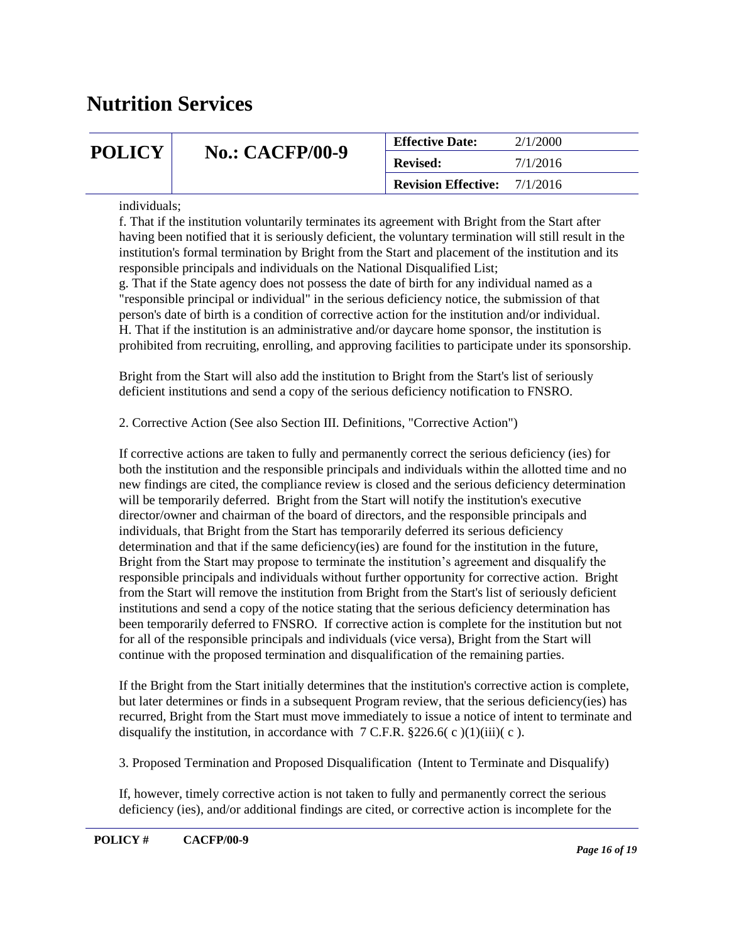| <b>POLICY</b> |                        | <b>Effective Date:</b>     | 2/1/2000 |
|---------------|------------------------|----------------------------|----------|
|               | <b>No.: CACFP/00-9</b> | <b>Revised:</b>            | 7/1/2016 |
|               |                        | <b>Revision Effective:</b> | 7/1/2016 |

individuals;

f. That if the institution voluntarily terminates its agreement with Bright from the Start after having been notified that it is seriously deficient, the voluntary termination will still result in the institution's formal termination by Bright from the Start and placement of the institution and its responsible principals and individuals on the National Disqualified List;

g. That if the State agency does not possess the date of birth for any individual named as a "responsible principal or individual" in the serious deficiency notice, the submission of that person's date of birth is a condition of corrective action for the institution and/or individual. H. That if the institution is an administrative and/or daycare home sponsor, the institution is prohibited from recruiting, enrolling, and approving facilities to participate under its sponsorship.

Bright from the Start will also add the institution to Bright from the Start's list of seriously deficient institutions and send a copy of the serious deficiency notification to FNSRO.

2. Corrective Action (See also Section III. Definitions, "Corrective Action")

If corrective actions are taken to fully and permanently correct the serious deficiency (ies) for both the institution and the responsible principals and individuals within the allotted time and no new findings are cited, the compliance review is closed and the serious deficiency determination will be temporarily deferred. Bright from the Start will notify the institution's executive director/owner and chairman of the board of directors, and the responsible principals and individuals, that Bright from the Start has temporarily deferred its serious deficiency determination and that if the same deficiency(ies) are found for the institution in the future, Bright from the Start may propose to terminate the institution's agreement and disqualify the responsible principals and individuals without further opportunity for corrective action. Bright from the Start will remove the institution from Bright from the Start's list of seriously deficient institutions and send a copy of the notice stating that the serious deficiency determination has been temporarily deferred to FNSRO. If corrective action is complete for the institution but not for all of the responsible principals and individuals (vice versa), Bright from the Start will continue with the proposed termination and disqualification of the remaining parties.

If the Bright from the Start initially determines that the institution's corrective action is complete, but later determines or finds in a subsequent Program review, that the serious deficiency(ies) has recurred, Bright from the Start must move immediately to issue a notice of intent to terminate and disqualify the institution, in accordance with  $7$  C.F.R. §226.6( $\text{c}$ )(1)(iii)( $\text{c}$ ).

3. Proposed Termination and Proposed Disqualification (Intent to Terminate and Disqualify)

If, however, timely corrective action is not taken to fully and permanently correct the serious deficiency (ies), and/or additional findings are cited, or corrective action is incomplete for the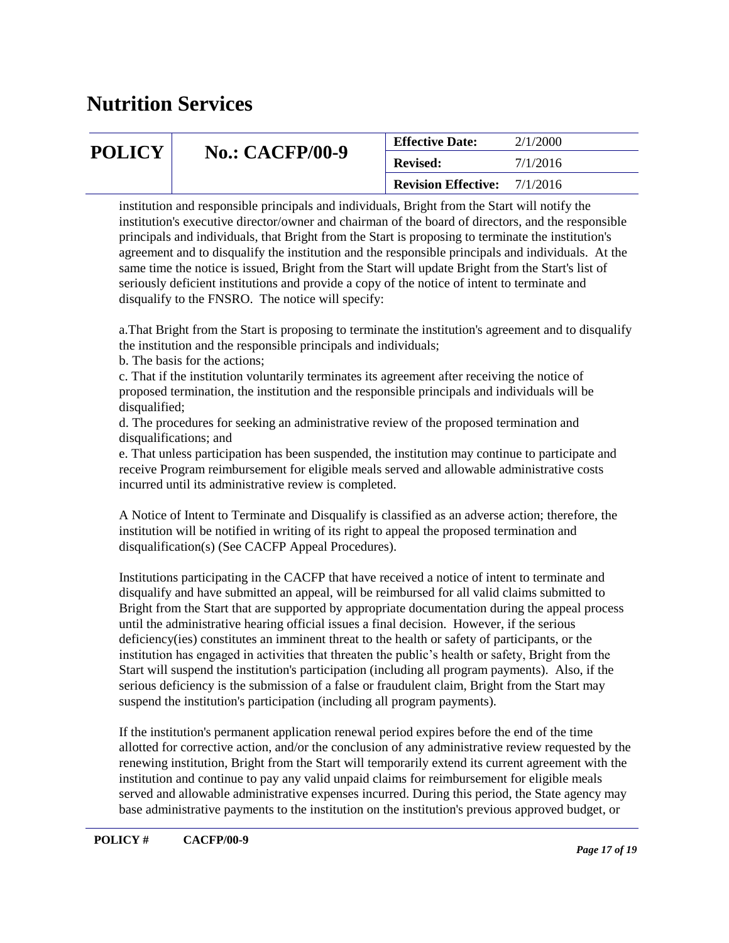| <b>POLICY</b> |                        | 2/1/2000<br><b>Effective Date:</b>  |          |
|---------------|------------------------|-------------------------------------|----------|
|               | <b>No.: CACFP/00-9</b> | <b>Revised:</b>                     | 7/1/2016 |
|               |                        | <b>Revision Effective:</b> 7/1/2016 |          |

institution and responsible principals and individuals, Bright from the Start will notify the institution's executive director/owner and chairman of the board of directors, and the responsible principals and individuals, that Bright from the Start is proposing to terminate the institution's agreement and to disqualify the institution and the responsible principals and individuals. At the same time the notice is issued, Bright from the Start will update Bright from the Start's list of seriously deficient institutions and provide a copy of the notice of intent to terminate and disqualify to the FNSRO. The notice will specify:

a.That Bright from the Start is proposing to terminate the institution's agreement and to disqualify the institution and the responsible principals and individuals;

b. The basis for the actions;

c. That if the institution voluntarily terminates its agreement after receiving the notice of proposed termination, the institution and the responsible principals and individuals will be disqualified;

d. The procedures for seeking an administrative review of the proposed termination and disqualifications; and

e. That unless participation has been suspended, the institution may continue to participate and receive Program reimbursement for eligible meals served and allowable administrative costs incurred until its administrative review is completed.

A Notice of Intent to Terminate and Disqualify is classified as an adverse action; therefore, the institution will be notified in writing of its right to appeal the proposed termination and disqualification(s) (See CACFP Appeal Procedures).

Institutions participating in the CACFP that have received a notice of intent to terminate and disqualify and have submitted an appeal, will be reimbursed for all valid claims submitted to Bright from the Start that are supported by appropriate documentation during the appeal process until the administrative hearing official issues a final decision. However, if the serious deficiency(ies) constitutes an imminent threat to the health or safety of participants, or the institution has engaged in activities that threaten the public's health or safety, Bright from the Start will suspend the institution's participation (including all program payments). Also, if the serious deficiency is the submission of a false or fraudulent claim, Bright from the Start may suspend the institution's participation (including all program payments).

If the institution's permanent application renewal period expires before the end of the time allotted for corrective action, and/or the conclusion of any administrative review requested by the renewing institution, Bright from the Start will temporarily extend its current agreement with the institution and continue to pay any valid unpaid claims for reimbursement for eligible meals served and allowable administrative expenses incurred. During this period, the State agency may base administrative payments to the institution on the institution's previous approved budget, or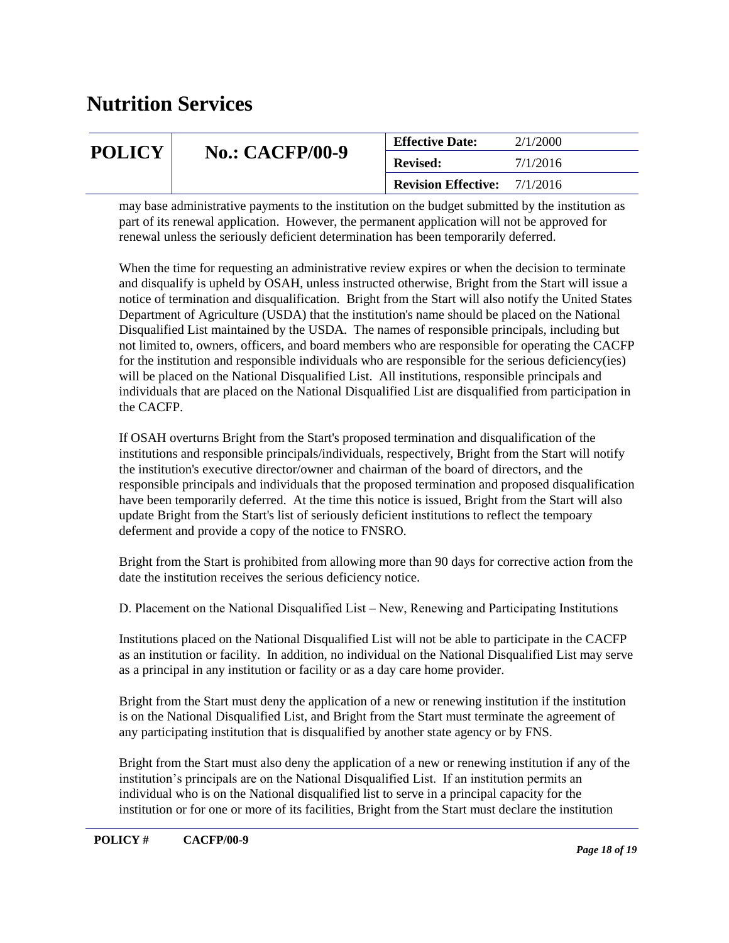|               |                        | <b>Effective Date:</b>     | 2/1/2000 |
|---------------|------------------------|----------------------------|----------|
| <b>POLICY</b> | <b>No.: CACFP/00-9</b> | <b>Revised:</b>            | 7/1/2016 |
|               |                        | <b>Revision Effective:</b> | 7/1/2016 |

may base administrative payments to the institution on the budget submitted by the institution as part of its renewal application. However, the permanent application will not be approved for renewal unless the seriously deficient determination has been temporarily deferred.

When the time for requesting an administrative review expires or when the decision to terminate and disqualify is upheld by OSAH, unless instructed otherwise, Bright from the Start will issue a notice of termination and disqualification. Bright from the Start will also notify the United States Department of Agriculture (USDA) that the institution's name should be placed on the National Disqualified List maintained by the USDA. The names of responsible principals, including but not limited to, owners, officers, and board members who are responsible for operating the CACFP for the institution and responsible individuals who are responsible for the serious deficiency(ies) will be placed on the National Disqualified List. All institutions, responsible principals and individuals that are placed on the National Disqualified List are disqualified from participation in the CACFP.

If OSAH overturns Bright from the Start's proposed termination and disqualification of the institutions and responsible principals/individuals, respectively, Bright from the Start will notify the institution's executive director/owner and chairman of the board of directors, and the responsible principals and individuals that the proposed termination and proposed disqualification have been temporarily deferred. At the time this notice is issued, Bright from the Start will also update Bright from the Start's list of seriously deficient institutions to reflect the tempoary deferment and provide a copy of the notice to FNSRO.

Bright from the Start is prohibited from allowing more than 90 days for corrective action from the date the institution receives the serious deficiency notice.

D. Placement on the National Disqualified List – New, Renewing and Participating Institutions

Institutions placed on the National Disqualified List will not be able to participate in the CACFP as an institution or facility. In addition, no individual on the National Disqualified List may serve as a principal in any institution or facility or as a day care home provider.

Bright from the Start must deny the application of a new or renewing institution if the institution is on the National Disqualified List, and Bright from the Start must terminate the agreement of any participating institution that is disqualified by another state agency or by FNS.

Bright from the Start must also deny the application of a new or renewing institution if any of the institution's principals are on the National Disqualified List. If an institution permits an individual who is on the National disqualified list to serve in a principal capacity for the institution or for one or more of its facilities, Bright from the Start must declare the institution